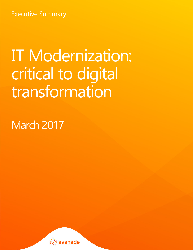Executive Summary

# IT Modernization: critical to digital transformation

March 2017

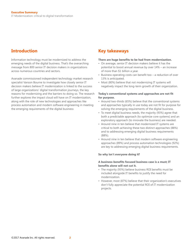Information technology must be modernized to address the emerging needs of the digital business. That's the overarching message from 800 senior IT decision makers in organizations across numerous countries and sectors.

Avanade commissioned independent technology market research specialist Vanson Bourne to investigate how closely senior IT decision makers believe IT modernization is linked to the success of large organizations' digital transformation journeys, the key reasons for modernizing and the barriers to doing so. The research further explores the impact cloud will have on IT modernization, along with the role of new technologies and approaches like process automation and modern software engineering in meeting the emerging requirements of the digital business

# **Introduction Key takeaways**

# **There are huge benefits to be had from modernization.**

- On average, senior IT decision makers believe it has the potential to boost annual revenue by over 14% – an increase of more than \$1 billion a year.
- Business operating costs can benefit too a reduction of over 13% is anticipated.
- Most (80%) believe that not modernizing IT systems will negatively impact the long-term growth of their organization.

# **Today's conventional systems and approaches are not fit for purpose.**

- Around two-thirds (65%) believe that the conventional systems and approaches typically in use today are not fit for purpose for solving the emerging requirements of the digital business.
- To meet digital business needs, the majority (93%) agree that both a predictable approach (to optimize core systems) and an exploratory approach (to innovate the business) are needed.
- Around nine in ten believe that modernized IT systems are critical to both achieving these two distinct approaches (88%) and to addressing emerging digital business requirements (88%).
- Around nine in ten believe that modern software engineering approaches (89%) and process automation technologies (92%) are key to addressing emerging digital business requirements.

# **So why isn't everyone doing it?**

# **A business-benefits focused business case is a must; IT benefits alone will not cut it.**

- The majority (93%) believe business ROI benefits must be included alongside IT benefits to justify the need for modernization.
- However, most (87%) believe that their organization's executives don't fully appreciate the potential ROI of IT modernization projects.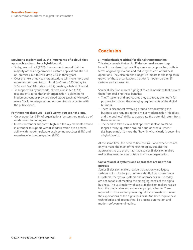# **Moving to modernized IT, the importance of a cloud-first approach is clear… for a hybrid world.**

- Today, around half (47%) of respondents report that the majority of their organization's custom applications still run on-premises, but this will drop 22% in three years.
- Over the next three years organizations will move more and more from on-premises to cloud (IaaS from 14% today to 30%, and PaaS 8% today to 25%) creating a hybrid IT world.
- To support this hybrid world, almost nine in ten (87%) respondents agree that their organization is planning to implement vendor-provided cloud stacks (such as Microsoft Azure Stack) to integrate their on-premises data center with the public cloud.

# **For those not there yet – don't worry, you are not alone.**

- On average, just 33% of organizations' systems are made up of modernized technologies.
- Interest in vendor support is high and the key elements desired in a vendor to support with IT modernization are a proven ability with modern software engineering practices (84%) and experience in cloud migration (81%)

# **Conclusion**

# **IT modernization: critical for digital transformation**

This study reveals that senior IT decision makers see huge benefit in modernizing their IT systems and approaches, both in terms of growing revenue and reducing the cost of business operations. They also predict a negative impact to the long-term growth of those organizations that don't modernize their IT systems and approaches.

Senior IT decision makers highlight three dimensions that prevent them from realizing these benefits:

- The IT systems and approaches they use today are not fit for purpose for solving the emerging requirements of the digital business.
- There is disconnect revolving around demonstrating the business case required to fund major modernization initiatives, and the business' ability to appreciate the potential return from these initiatives.
- The need to take a cloud-first approach is clear, so it's no longer a "why" question around cloud or even a "when," (it's happening), it's more the "how" in what clearly is becoming a hybrid world.

At the same time, the need to find the skills and experience not only to make the most of the technologies, but also the approaches to use them, has made senior IT decision makers realize they need to look outside their own organization.

# **Conventional IT systems and approaches are not fit for purpose**

Senior IT decision makers realize that not only are legacy systems not up to the job, but importantly their conventional IT systems, the typical systems and approaches in use today, are not capable of meeting the emerging needs of the digital business. The vast majority of senior IT decision makers realize both the predictable and exploratory approaches to IT are required to drive and empower digital transformation to meet the expectations of the digital business. And both require new technologies and approaches like process automation and modern software engineering.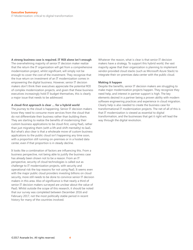**A strong business case is required. IT ROI alone isn't enough** The overwhelming majority of senior IT decision maker realize that the return the IT organization will get from a comprehensive modernization project, whilst significant, will simply not be enough to cover the cost of the investment. They recognize that the true return on investment of an IT modernization comes in empowering the digital business. However, senior IT decision makers don't think their executives appreciate the potential ROI of complex modernization projects, and given that these business executives increasingly hold IT budget themselves, this is clearly a major issue that needs to be addressed.

# **A cloud-first approach is clear … for a hybrid world**

The journey to the cloud is happening. Senior IT decision makers know they need to consume more services from the cloud that do not differentiate their business rather than building them. They are starting to realize the benefits of modernizing their custom business applications to be cloud-first, using PaaS, rather than just migrating them (with a lift-and-shift mentality) to IaaS. But what's also clear is that a wholesale move of custom business applications to the public cloud isn't happening any time soon, with a proportion still running on-premises or in a hosted data center, even if that proportion is in steady decline.

It looks like a combination of factors are influencing this. From a business perspective, not being able to justify the business case has already been shown not to be a reason. From an IT perspective, security of cloud technologies is called out as challenge to IT modernization projects, with security and operational risk the top reasons for not using PaaS. It seems even with the major public cloud providers investing billions on cloud security, more still needs to be done to convince senior IT decision makers in this area. Also of significance is that nearly a third of senior IT decision makers surveyed are unclear about the value of PaaS. Whilst outside the scope of this research, it should be noted that our survey was completed between December 2016 and February 2017, not the most politically stable period in recent history for many of the countries involved.

Whatever the reason, what is clear is that senior IT decision makers have a strategy. To support this hybrid world, the vast majority agree that their organization is planning to implement vendor-provided cloud stacks (such as Microsoft Azure Stack) to integrate their on-premises data center with the public cloud.

# **Making it happen**

Despite the benefits, senior IT decision makers are struggling to make major modernization projects happen. They recognize they need help, and interest in partner support is high. The key elements desired in a partner being a proven ability with modern software engineering practices and experience in cloud migration. Clearly help is also needed to create the business case for transformational IT modernization projects. The net of all of this is that IT modernization is viewed as essential to digital transformation, and the businesses that get it right will lead the way through the digital revolution.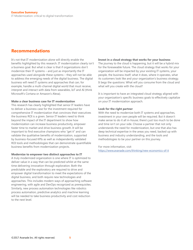# **Recommendations**

It's not that IT modernization alone will directly enable the benefits highlighted by this research. IT modernization clearly isn't a business goal. But what is clear is that if organizations don't modernize their IT systems – and just as importantly the IT approaches used alongside these systems – they will not be able to address the emerging needs of the digital business. The digital business will need IT systems and approaches that can, for example, handle a multi-channel digital world that must receive, interpret and interact with data from wearables, IoT and AI (think Microsoft's Cortana or Amazon's Alexa).

# **Make a clear business case for IT modernization**

This research has clearly highlighted that senior IT leaders have to deliver a business case for the investment required for comprehensive IT modernization that convinces their executives the business ROI is a given. Senior IT leaders need to think beyond the impact of the IT department to show how modernization can increase business productivity, empower faster time to market and drive business growth. It will be important to find executive champions who "get it" and can validate the qualitative benefits of modernization, supported by business-focused KPIs as well as independently validated ROI tools and methodologies that can demonstrate quantifiable business benefits from modernization projects.

# **Modernize to empower two distinct approaches to IT**

A truly modernized organization is one where IT is optimized to deliver value in a way that can be predicted whilst at the same time delivering innovation through exploration. Both the predictable and the exploratory are required to drive and empower digital transformation to meet the expectations of the digital business, and both require new technologies and approaches. This includes modern ways of approaching software engineering, with agile and DevOps recognized as prerequisites. Similarly, new process automation technologies like robotics process automation, predictive analytics and machine learning will be needed to take business productivity and cost reduction to the next level.

# **Invest in a cloud strategy that works for your business**

The journey to the cloud is happening, but it will be a hybrid mix for the foreseeable future. The cloud strategy that works for your organization will be impacted by your existing IT systems, your people, the business itself; what it does, where it operates, what its customers look like and your organization's business strategy. It begs the questions: What will you consume from the cloud and what will you create with the cloud?

It is important to have an integrated cloud strategy aligned with your organization's specific business goals to effectively capitalize on your IT modernization approach.

# **Look for the right partner**

With the need to modernize both IT systems and approaches, investment in your own people will be required. But it doesn't make sense to do it all in-house; there's just too much to be done and time isn't on your side. Choose a partner that not only understands the need for modernization, but one that also has deep technical expertise in the areas you need, backed up with business and industry understanding, and the tools and methodologies to be your partner on this journey.

For more information, visit <https://www.avanade.com/thinking/new-economics-of-it>